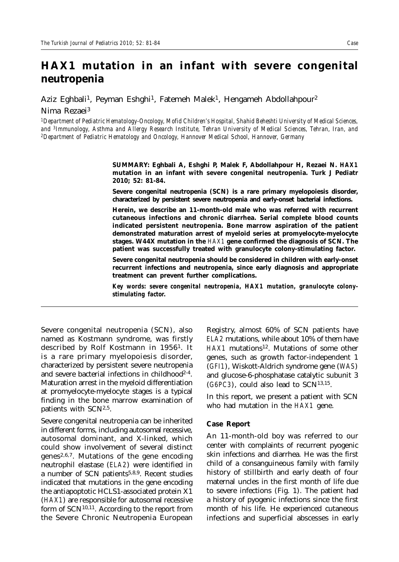## **HAX1 mutation in an infant with severe congenital neutropenia**

Aziz Eghbali<sup>1</sup>, Peyman Eshghi<sup>1</sup>, Fatemeh Malek<sup>1</sup>, Hengameh Abdollahpour<sup>2</sup> Nima Rezaei3

*1Department of Pediatric Hematology-Oncology, Mofid Children's Hospital, Shahid Beheshti University of Medical Sciences,*  and <sup>3</sup>Immunology, Asthma and Allergy Research Institute, Tehran University of Medical Sciences, Tehran, Iran, and<br><sup>2</sup>Department of Pediatric Hematology and Oncology, Hannover Medical School, Hannover, Germany

> **SUMMARY: Eghbali A, Eshghi P, Malek F, Abdollahpour H, Rezaei N.** *HAX1* **mutation in an infant with severe congenital neutropenia. Turk J Pediatr 2010; 52: 81-84.**

> **Severe congenital neutropenia (SCN) is a rare primary myelopoiesis disorder, characterized by persistent severe neutropenia and early-onset bacterial infections.**

> **Herein, we describe an 11-month-old male who was referred with recurrent cutaneous infections and chronic diarrhea. Serial complete blood counts indicated persistent neutropenia. Bone marrow aspiration of the patient demonstrated maturation arrest of myeloid series at promyelocyte-myelocyte stages. W44X mutation in the** *HAX1* **gene confirmed the diagnosis of SCN. The patient was successfully treated with granulocyte colony-stimulating factor.**

> **Severe congenital neutropenia should be considered in children with early-onset recurrent infections and neutropenia, since early diagnosis and appropriate treatment can prevent further complications.**

> *Key words: severe congenital neutropenia, HAX1 mutation, granulocyte colonystimulating factor.*

Severe congenital neutropenia (SCN), also named as Kostmann syndrome, was firstly described by Rolf Kostmann in 19561. It is a rare primary myelopoiesis disorder, characterized by persistent severe neutropenia and severe bacterial infections in childhood<sup>2-4</sup>. Maturation arrest in the myeloid differentiation at promyelocyte-myelocyte stages is a typical finding in the bone marrow examination of patients with SCN2,5.

Severe congenital neutropenia can be inherited in different forms, including autosomal recessive, autosomal dominant, and X-linked, which could show involvement of several distinct genes<sup>2,6,7</sup>. Mutations of the gene encoding neutrophil elastase (*ELA2*) were identified in a number of SCN patients<sup>5,8,9</sup>. Recent studies indicated that mutations in the gene encoding the antiapoptotic HCLS1-associated protein X1 (*HAX1*) are responsible for autosomal recessive form of SCN10,11. According to the report from the Severe Chronic Neutropenia European

Registry, almost 60% of SCN patients have *ELA2* mutations, while about 10% of them have HAX1 mutations<sup>12</sup>. Mutations of some other genes, such as growth factor-independent 1 (*GFI1*), Wiskott-Aldrich syndrome gene (*WAS*) and glucose-6-phosphatase catalytic subunit 3 (*G6PC3*), could also lead to SCN13,15.

In this report, we present a patient with SCN who had mutation in the *HAX1* gene.

## **Case Report**

An 11-month-old boy was referred to our center with complaints of recurrent pyogenic skin infections and diarrhea. He was the first child of a consanguineous family with family history of stillbirth and early death of four maternal uncles in the first month of life due to severe infections (Fig. 1). The patient had a history of pyogenic infections since the first month of his life. He experienced cutaneous infections and superficial abscesses in early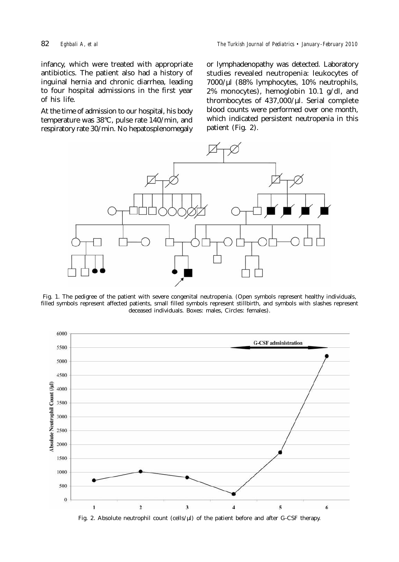infancy, which were treated with appropriate antibiotics. The patient also had a history of inguinal hernia and chronic diarrhea, leading to four hospital admissions in the first year of his life.

At the time of admission to our hospital, his body temperature was 38°C, pulse rate 140/min, and respiratory rate 30/min. No hepatosplenomegaly or lymphadenopathy was detected. Laboratory studies revealed neutropenia: leukocytes of 7000/µl (88% lymphocytes, 10% neutrophils, 2% monocytes), hemoglobin 10.1 g/dl, and thrombocytes of 437,000/µl. Serial complete blood counts were performed over one month, which indicated persistent neutropenia in this patient (Fig. 2).



Fig. 1. The pedigree of the patient with severe congenital neutropenia. (Open symbols represent healthy individuals, filled symbols represent affected patients, small filled symbols represent stillbirth, and symbols with slashes represent deceased individuals. Boxes: males, Circles: females).



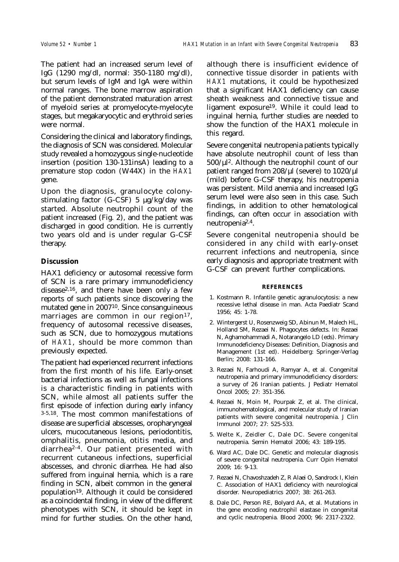The patient had an increased serum level of IgG (1290 mg/dl, normal: 350-1180 mg/dl), but serum levels of IgM and IgA were within normal ranges. The bone marrow aspiration of the patient demonstrated maturation arrest of myeloid series at promyelocyte-myelocyte stages, but megakaryocytic and erythroid series were normal.

Considering the clinical and laboratory findings, the diagnosis of SCN was considered. Molecular study revealed a homozygous single-nucleotide insertion (position 130-131insA) leading to a premature stop codon (W44X) in the *HAX1* gene.

Upon the diagnosis, granulocyte colonystimulating factor (G-CSF) 5 µg/kg/day was started. Absolute neutrophil count of the patient increased (Fig. 2), and the patient was discharged in good condition. He is currently two years old and is under regular G-CSF therapy.

## **Discussion**

HAX1 deficiency or autosomal recessive form of SCN is a rare primary immunodeficiency disease<sup>2,16</sup>, and there have been only a few reports of such patients since discovering the mutated gene in 200710. Since consanguineous marriages are common in our region<sup>17</sup>, frequency of autosomal recessive diseases, such as SCN, due to homozygous mutations of *HAX1*, should be more common than previously expected.

The patient had experienced recurrent infections from the first month of his life. Early-onset bacterial infections as well as fungal infections is a characteristic finding in patients with SCN, while almost all patients suffer the first episode of infection during early infancy 3-5,18. The most common manifestations of disease are superficial abscesses, oropharyngeal ulcers, mucocutaneous lesions, periodontitis, omphalitis, pneumonia, otitis media, and diarrhea2-4. Our patient presented with recurrent cutaneous infections, superficial abscesses, and chronic diarrhea. He had also suffered from inguinal hernia, which is a rare finding in SCN, albeit common in the general population19. Although it could be considered as a coincidental finding, in view of the different phenotypes with SCN, it should be kept in mind for further studies. On the other hand,

although there is insufficient evidence of connective tissue disorder in patients with *HAX1* mutations, it could be hypothesized that a significant HAX1 deficiency can cause sheath weakness and connective tissue and ligament exposure19. While it could lead to inguinal hernia, further studies are needed to show the function of the HAX1 molecule in this regard.

Severe congenital neutropenia patients typically have absolute neutrophil count of less than 500/µl2. Although the neutrophil count of our patient ranged from  $208/\mu$ l (severe) to  $1020/\mu$ l (mild) before G-CSF therapy, his neutropenia was persistent. Mild anemia and increased IgG serum level were also seen in this case. Such findings, in addition to other hematological findings, can often occur in association with neutropenia2,4.

Severe congenital neutropenia should be considered in any child with early-onset recurrent infections and neutropenia, since early diagnosis and appropriate treatment with G-CSF can prevent further complications.

## **REFERENCES**

- 1. Kostmann R. Infantile genetic agranulocytosis: a new recessive lethal disease in man. Acta Paediatr Scand 1956; 45: 1-78.
- 2. Wintergerst U, Rosenzweig SD, Abinun M, Malech HL, Holland SM, Rezaei N. Phagocytes defects. In: Rezaei N, Aghamohammadi A, Notarangelo LD (eds). Primary Immunodeficiency Diseases: Definition, Diagnosis and Management (1st ed). Heidelberg: Springer-Verlag Berlin; 2008: 131-166.
- 3. Rezaei N, Farhoudi A, Ramyar A, et al. Congenital neutropenia and primary immunodeficiency disorders: a survey of 26 Iranian patients. J Pediatr Hematol Oncol 2005; 27: 351-356.
- 4. Rezaei N, Moin M, Pourpak Z, et al. The clinical, immunohematological, and molecular study of Iranian patients with severe congenital neutropenia. J Clin Immunol 2007; 27: 525-533.
- 5. Welte K, Zeidler C, Dale DC. Severe congenital neutropenia. Semin Hematol 2006; 43: 189-195.
- 6. Ward AC, Dale DC. Genetic and molecular diagnosis of severe congenital neutropenia. Curr Opin Hematol 2009; 16: 9-13.
- 7. Rezaei N, Chavoshzadeh Z, R Alaei O, Sandrock I, Klein C. Association of HAX1 deficiency with neurological disorder. Neuropediatrics 2007; 38: 261-263.
- 8. Dale DC, Person RE, Bolyard AA, et al. Mutations in the gene encoding neutrophil elastase in congenital and cyclic neutropenia. Blood 2000; 96: 2317-2322.